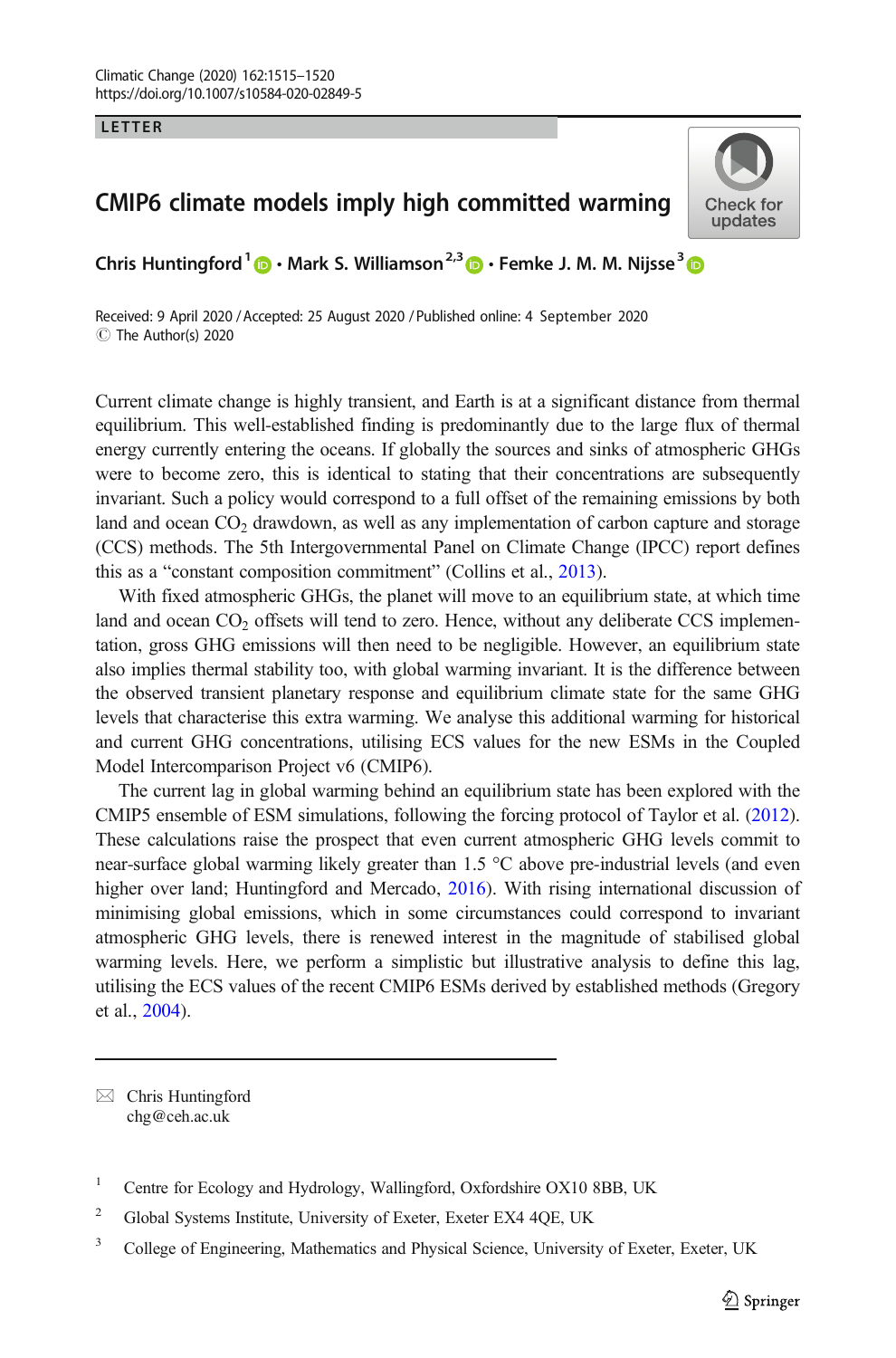LETTER

## CMIP6 climate models imply high committed warming



Chris Huntingford<sup>1</sup>  $\mathbf{D} \cdot$  Mark S. Williamson<sup>2,3</sup>  $\mathbf{D} \cdot$  Femke J. M. M. Nijsse<sup>3</sup>  $\mathbf{D}$ 

Received: 9 April 2020 / Accepted: 25 August 2020 /Published online: 4 September 2020C The Author(s) 2020

Current climate change is highly transient, and Earth is at a significant distance from thermal equilibrium. This well-established finding is predominantly due to the large flux of thermal energy currently entering the oceans. If globally the sources and sinks of atmospheric GHGs were to become zero, this is identical to stating that their concentrations are subsequently invariant. Such a policy would correspond to a full offset of the remaining emissions by both land and ocean  $CO<sub>2</sub>$  drawdown, as well as any implementation of carbon capture and storage (CCS) methods. The 5th Intergovernmental Panel on Climate Change (IPCC) report defines this as a "constant composition commitment" (Collins et al., [2013\)](#page-4-0).

With fixed atmospheric GHGs, the planet will move to an equilibrium state, at which time land and ocean  $CO<sub>2</sub>$  offsets will tend to zero. Hence, without any deliberate CCS implementation, gross GHG emissions will then need to be negligible. However, an equilibrium state also implies thermal stability too, with global warming invariant. It is the difference between the observed transient planetary response and equilibrium climate state for the same GHG levels that characterise this extra warming. We analyse this additional warming for historical and current GHG concentrations, utilising ECS values for the new ESMs in the Coupled Model Intercomparison Project v6 (CMIP6).

The current lag in global warming behind an equilibrium state has been explored with the CMIP5 ensemble of ESM simulations, following the forcing protocol of Taylor et al. ([2012](#page-5-0)). These calculations raise the prospect that even current atmospheric GHG levels commit to near-surface global warming likely greater than 1.5 °C above pre-industrial levels (and even higher over land; Huntingford and Mercado, [2016](#page-4-0)). With rising international discussion of minimising global emissions, which in some circumstances could correspond to invariant atmospheric GHG levels, there is renewed interest in the magnitude of stabilised global warming levels. Here, we perform a simplistic but illustrative analysis to define this lag, utilising the ECS values of the recent CMIP6 ESMs derived by established methods (Gregory et al., [2004](#page-4-0)).

 $\boxtimes$  Chris Huntingford [chg@ceh.ac.uk](mailto:chg@ceh.ac.uk)

<sup>&</sup>lt;sup>1</sup> Centre for Ecology and Hydrology, Wallingford, Oxfordshire OX10 8BB, UK

<sup>&</sup>lt;sup>2</sup> Global Systems Institute, University of Exeter, Exeter EX4 4QE, UK

<sup>&</sup>lt;sup>3</sup> College of Engineering, Mathematics and Physical Science, University of Exeter, Exeter, UK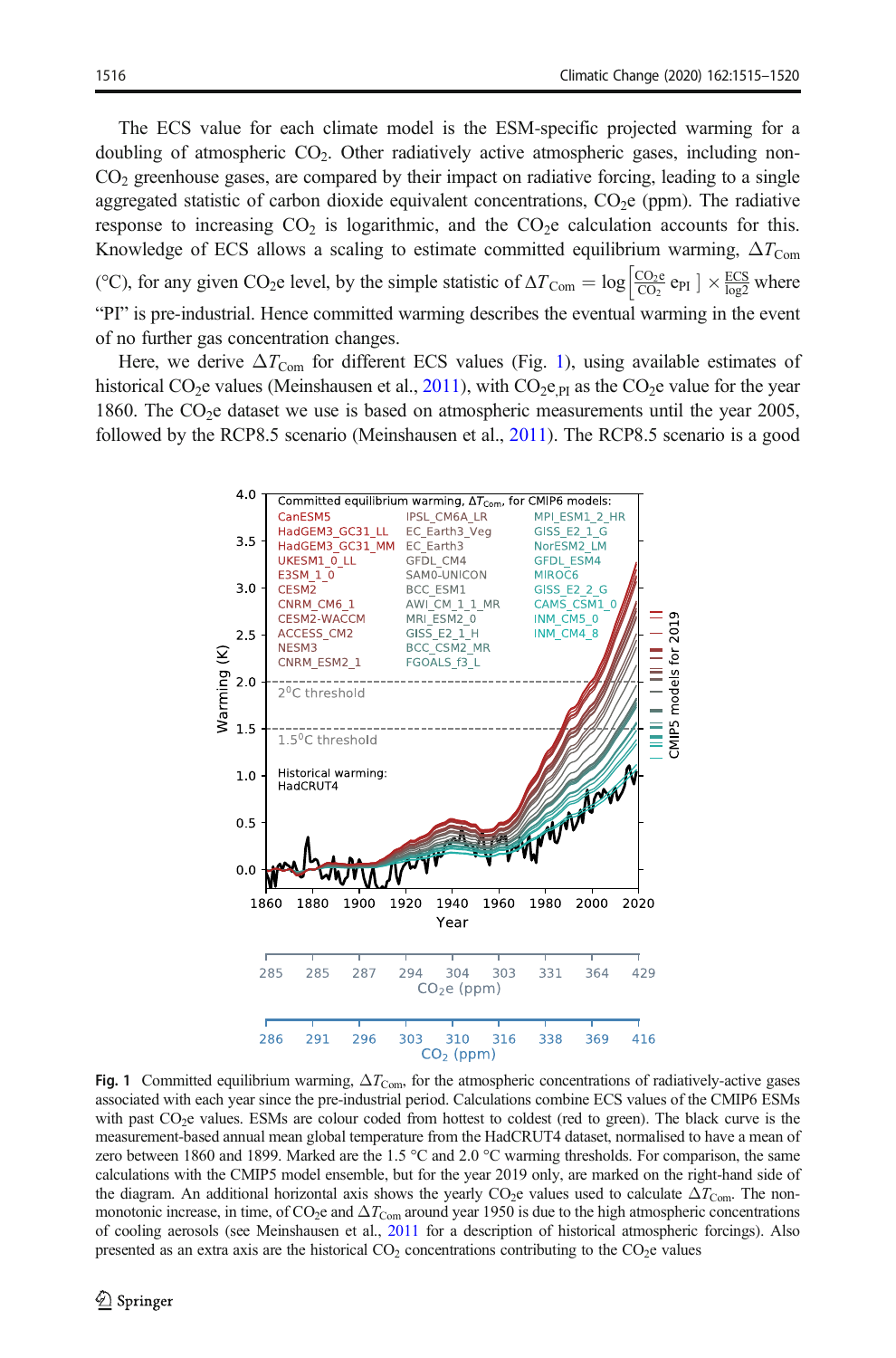<span id="page-1-0"></span>The ECS value for each climate model is the ESM-specific projected warming for a doubling of atmospheric  $CO<sub>2</sub>$ . Other radiatively active atmospheric gases, including non- $CO<sub>2</sub>$  greenhouse gases, are compared by their impact on radiative forcing, leading to a single aggregated statistic of carbon dioxide equivalent concentrations,  $CO<sub>2</sub>e$  (ppm). The radiative response to increasing  $CO<sub>2</sub>$  is logarithmic, and the  $CO<sub>2</sub>$  calculation accounts for this. Knowledge of ECS allows a scaling to estimate committed equilibrium warming,  $\Delta T_{\text{Com}}$ (°C), for any given CO<sub>2</sub>e level, by the simple statistic of  $\Delta T_{\text{Com}} = \log \left| \frac{\cos_2 e}{\cos_2 e_{\text{PI}}} \right| \times \frac{\text{ECS}}{\log 2}$  where "PI" is pre-industrial. Hence committed warming describes the eventual warming in the event of no further gas concentration changes.

Here, we derive  $\Delta T_{\text{Com}}$  for different ECS values (Fig. 1), using available estimates of historical CO<sub>2</sub>e values (Meinshausen et al., [2011\)](#page-4-0), with CO<sub>2</sub>e <sub>PI</sub> as the CO<sub>2</sub>e value for the year 1860. The  $CO<sub>2</sub>e$  dataset we use is based on atmospheric measurements until the year 2005, followed by the RCP8.5 scenario (Meinshausen et al., [2011\)](#page-4-0). The RCP8.5 scenario is a good



Fig. 1 Committed equilibrium warming,  $\Delta T_{\text{Com}}$ , for the atmospheric concentrations of radiatively-active gases associated with each year since the pre-industrial period. Calculations combine ECS values of the CMIP6 ESMs with past CO<sub>2</sub>e values. ESMs are colour coded from hottest to coldest (red to green). The black curve is the measurement-based annual mean global temperature from the HadCRUT4 dataset, normalised to have a mean of zero between 1860 and 1899. Marked are the 1.5 °C and 2.0 °C warming thresholds. For comparison, the same calculations with the CMIP5 model ensemble, but for the year 2019 only, are marked on the right-hand side of the diagram. An additional horizontal axis shows the yearly CO<sub>2</sub>e values used to calculate  $\Delta T_{\text{Com}}$ . The nonmonotonic increase, in time, of  $CO_2e$  and  $\Delta T_{\text{Com}}$  around year 1950 is due to the high atmospheric concentrations of cooling aerosols (see Meinshausen et al., [2011](#page-4-0) for a description of historical atmospheric forcings). Also presented as an extra axis are the historical  $CO<sub>2</sub>$  concentrations contributing to the  $CO<sub>2</sub>e$  values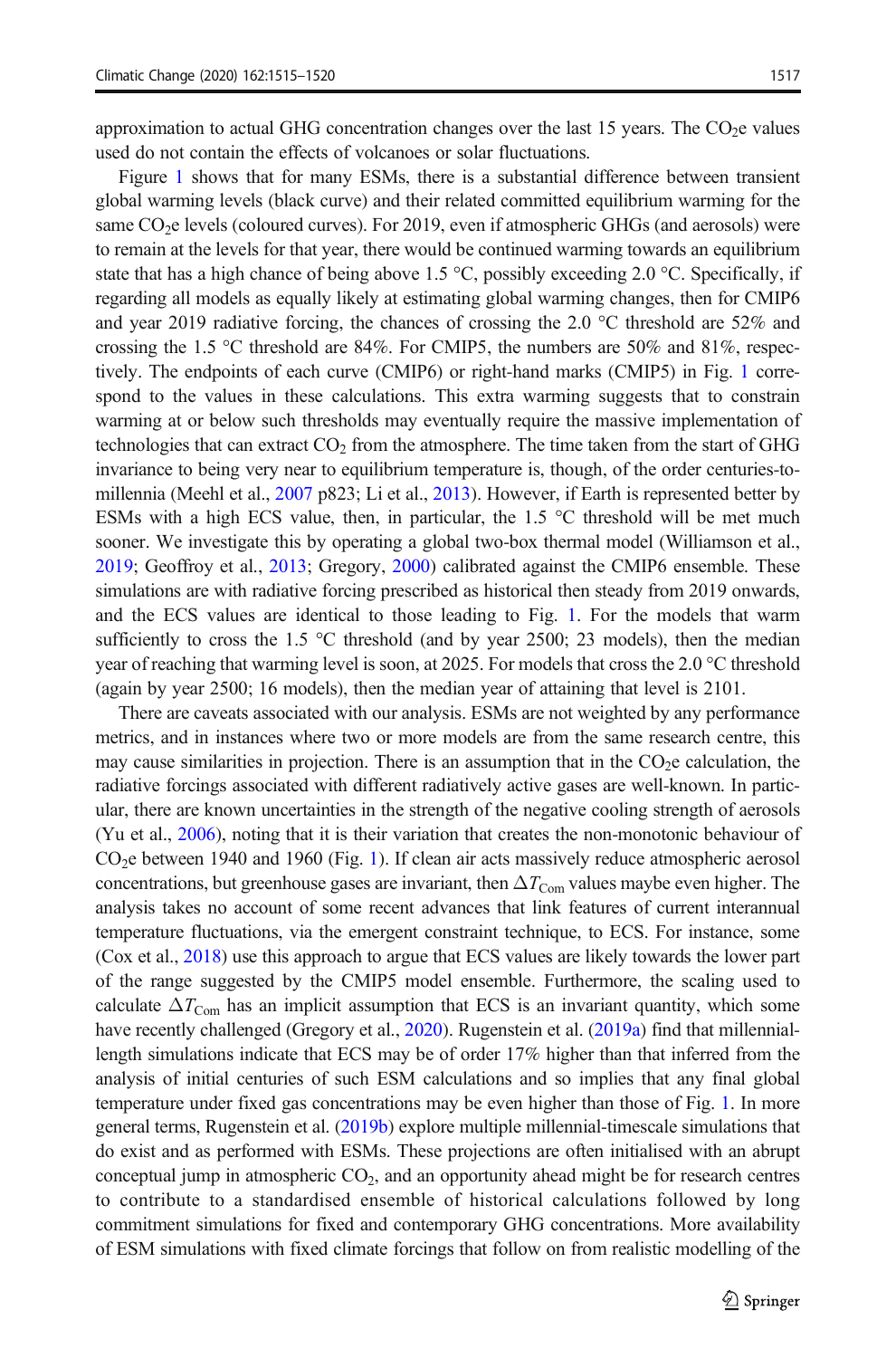approximation to actual GHG concentration changes over the last  $15$  years. The  $CO<sub>2</sub>e$  values used do not contain the effects of volcanoes or solar fluctuations.

Figure [1](#page-1-0) shows that for many ESMs, there is a substantial difference between transient global warming levels (black curve) and their related committed equilibrium warming for the same CO<sub>2</sub>e levels (coloured curves). For 2019, even if atmospheric GHGs (and aerosols) were to remain at the levels for that year, there would be continued warming towards an equilibrium state that has a high chance of being above 1.5  $\degree$ C, possibly exceeding 2.0  $\degree$ C. Specifically, if regarding all models as equally likely at estimating global warming changes, then for CMIP6 and year 2019 radiative forcing, the chances of crossing the 2.0 °C threshold are 52% and crossing the 1.5  $\degree$ C threshold are 84%. For CMIP5, the numbers are 50% and 81%, respectively. The endpoints of each curve (CMIP6) or right-hand marks (CMIP5) in Fig. [1](#page-1-0) correspond to the values in these calculations. This extra warming suggests that to constrain warming at or below such thresholds may eventually require the massive implementation of technologies that can extract  $CO<sub>2</sub>$  from the atmosphere. The time taken from the start of GHG invariance to being very near to equilibrium temperature is, though, of the order centuries-tomillennia (Meehl et al., [2007](#page-4-0) p823; Li et al., [2013](#page-4-0)). However, if Earth is represented better by ESMs with a high ECS value, then, in particular, the  $1.5^{\circ}$ C threshold will be met much sooner. We investigate this by operating a global two-box thermal model (Williamson et al., [2019](#page-5-0); Geoffroy et al., [2013;](#page-4-0) Gregory, [2000](#page-4-0)) calibrated against the CMIP6 ensemble. These simulations are with radiative forcing prescribed as historical then steady from 2019 onwards, and the ECS values are identical to those leading to Fig. [1.](#page-1-0) For the models that warm sufficiently to cross the 1.5  $\degree$ C threshold (and by year 2500; 23 models), then the median year of reaching that warming level is soon, at 2025. For models that cross the 2.0 °C threshold (again by year 2500; 16 models), then the median year of attaining that level is 2101.

There are caveats associated with our analysis. ESMs are not weighted by any performance metrics, and in instances where two or more models are from the same research centre, this may cause similarities in projection. There is an assumption that in the  $CO<sub>2</sub>e$  calculation, the radiative forcings associated with different radiatively active gases are well-known. In particular, there are known uncertainties in the strength of the negative cooling strength of aerosols (Yu et al., [2006\)](#page-5-0), noting that it is their variation that creates the non-monotonic behaviour of CO2e between 1940 and 1960 (Fig. [1\)](#page-1-0). If clean air acts massively reduce atmospheric aerosol concentrations, but greenhouse gases are invariant, then  $\Delta T_{\text{Com}}$  values maybe even higher. The analysis takes no account of some recent advances that link features of current interannual temperature fluctuations, via the emergent constraint technique, to ECS. For instance, some (Cox et al., [2018\)](#page-4-0) use this approach to argue that ECS values are likely towards the lower part of the range suggested by the CMIP5 model ensemble. Furthermore, the scaling used to calculate  $\Delta T_{\text{Com}}$  has an implicit assumption that ECS is an invariant quantity, which some have recently challenged (Gregory et al., [2020](#page-4-0)). Rugenstein et al. ([2019a](#page-4-0)) find that millenniallength simulations indicate that ECS may be of order 17% higher than that inferred from the analysis of initial centuries of such ESM calculations and so implies that any final global temperature under fixed gas concentrations may be even higher than those of Fig. [1](#page-1-0). In more general terms, Rugenstein et al. [\(2019b](#page-5-0)) explore multiple millennial-timescale simulations that do exist and as performed with ESMs. These projections are often initialised with an abrupt conceptual jump in atmospheric  $CO<sub>2</sub>$ , and an opportunity ahead might be for research centres to contribute to a standardised ensemble of historical calculations followed by long commitment simulations for fixed and contemporary GHG concentrations. More availability of ESM simulations with fixed climate forcings that follow on from realistic modelling of the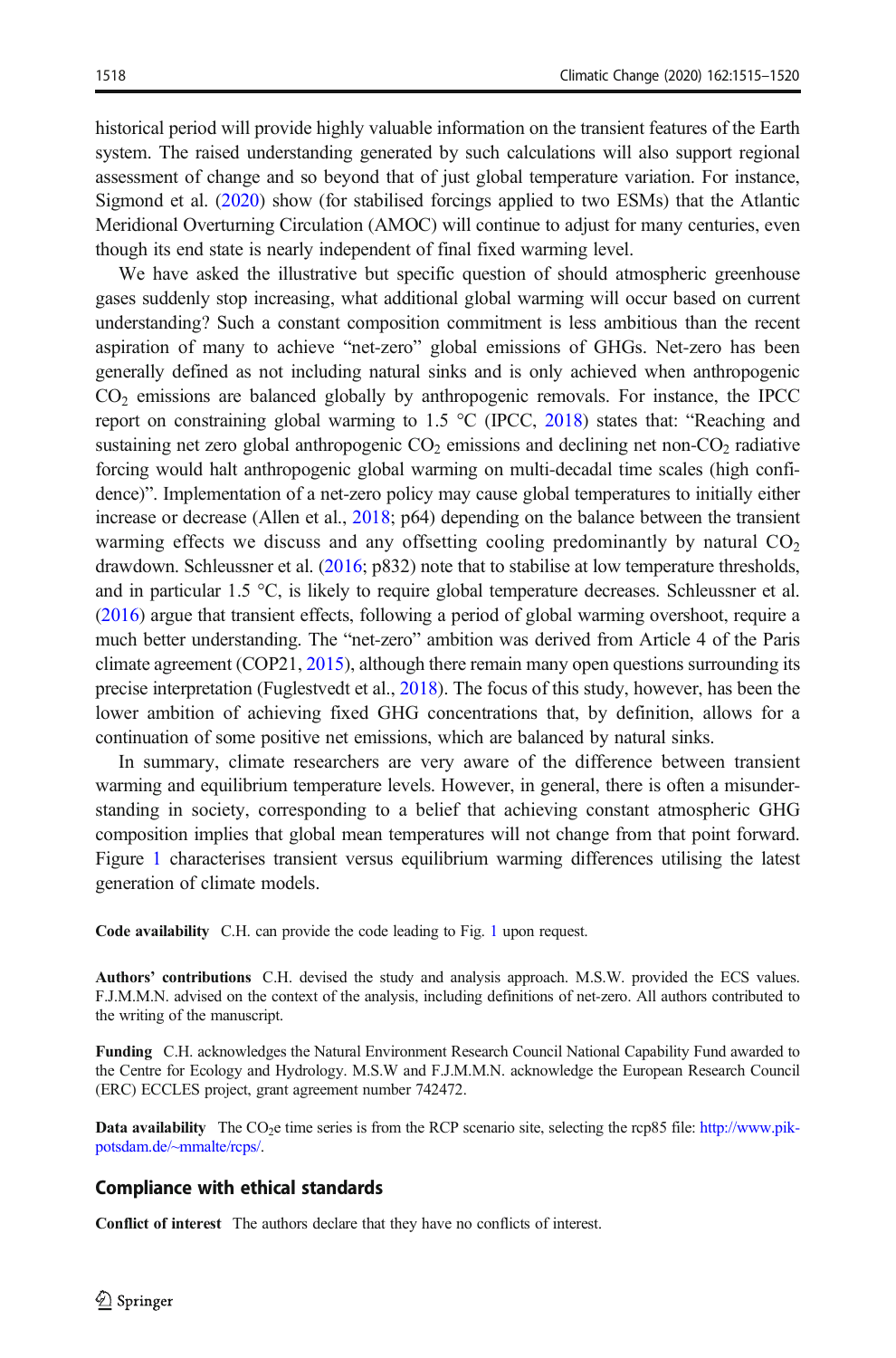historical period will provide highly valuable information on the transient features of the Earth system. The raised understanding generated by such calculations will also support regional assessment of change and so beyond that of just global temperature variation. For instance, Sigmond et al. ([2020](#page-5-0)) show (for stabilised forcings applied to two ESMs) that the Atlantic Meridional Overturning Circulation (AMOC) will continue to adjust for many centuries, even though its end state is nearly independent of final fixed warming level.

We have asked the illustrative but specific question of should atmospheric greenhouse gases suddenly stop increasing, what additional global warming will occur based on current understanding? Such a constant composition commitment is less ambitious than the recent aspiration of many to achieve "net-zero" global emissions of GHGs. Net-zero has been generally defined as not including natural sinks and is only achieved when anthropogenic  $CO<sub>2</sub>$  emissions are balanced globally by anthropogenic removals. For instance, the IPCC report on constraining global warming to  $1.5 \degree C$  (IPCC, [2018\)](#page-4-0) states that: "Reaching and sustaining net zero global anthropogenic  $CO<sub>2</sub>$  emissions and declining net non- $CO<sub>2</sub>$  radiative forcing would halt anthropogenic global warming on multi-decadal time scales (high confidence)". Implementation of a net-zero policy may cause global temperatures to initially either increase or decrease (Allen et al., [2018](#page-4-0); p64) depending on the balance between the transient warming effects we discuss and any offsetting cooling predominantly by natural  $CO<sub>2</sub>$ drawdown. Schleussner et al. [\(2016;](#page-5-0) p832) note that to stabilise at low temperature thresholds, and in particular 1.5 °C, is likely to require global temperature decreases. Schleussner et al. ([2016](#page-5-0)) argue that transient effects, following a period of global warming overshoot, require a much better understanding. The "net-zero" ambition was derived from Article 4 of the Paris climate agreement (COP21, [2015\)](#page-4-0), although there remain many open questions surrounding its precise interpretation (Fuglestvedt et al., [2018\)](#page-4-0). The focus of this study, however, has been the lower ambition of achieving fixed GHG concentrations that, by definition, allows for a continuation of some positive net emissions, which are balanced by natural sinks.

In summary, climate researchers are very aware of the difference between transient warming and equilibrium temperature levels. However, in general, there is often a misunderstanding in society, corresponding to a belief that achieving constant atmospheric GHG composition implies that global mean temperatures will not change from that point forward. Figure [1](#page-1-0) characterises transient versus equilibrium warming differences utilising the latest generation of climate models.

Code availability C.H. can provide the code leading to Fig. [1](#page-1-0) upon request.

Authors' contributions C.H. devised the study and analysis approach. M.S.W. provided the ECS values. F.J.M.M.N. advised on the context of the analysis, including definitions of net-zero. All authors contributed to the writing of the manuscript.

Funding C.H. acknowledges the Natural Environment Research Council National Capability Fund awarded to the Centre for Ecology and Hydrology. M.S.W and F.J.M.M.N. acknowledge the European Research Council (ERC) ECCLES project, grant agreement number 742472.

Data availability The CO<sub>2</sub>e time series is from the RCP scenario site, selecting the rcp85 file: [http://www.pik](http://www.pik-potsdam.de/~mmalte/rcps/)[potsdam.de/~mmalte/rcps/.](http://www.pik-potsdam.de/~mmalte/rcps/)

## Compliance with ethical standards

Conflict of interest The authors declare that they have no conflicts of interest.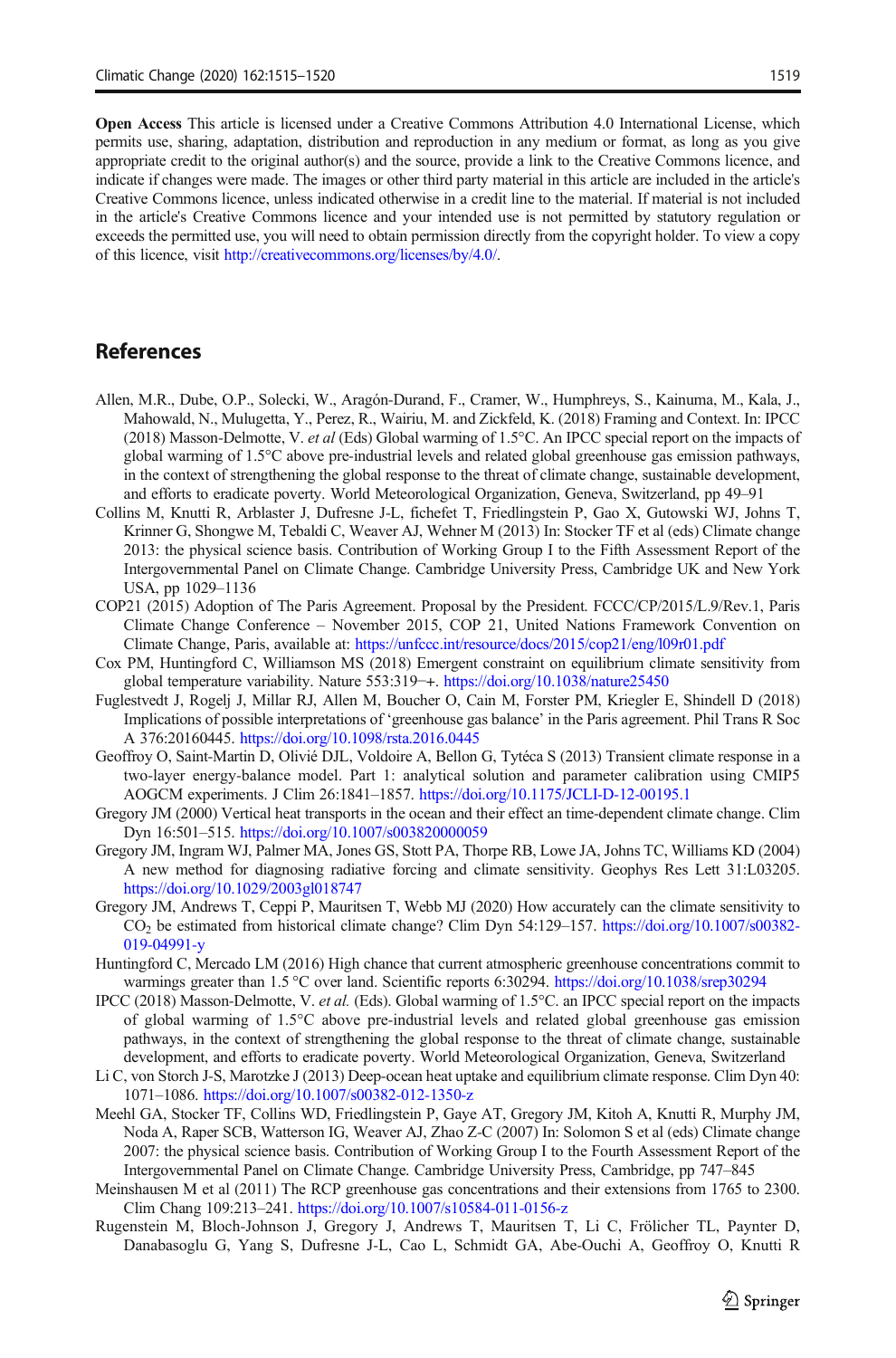<span id="page-4-0"></span>Open Access This article is licensed under a Creative Commons Attribution 4.0 International License, which permits use, sharing, adaptation, distribution and reproduction in any medium or format, as long as you give appropriate credit to the original author(s) and the source, provide a link to the Creative Commons licence, and indicate if changes were made. The images or other third party material in this article are included in the article's Creative Commons licence, unless indicated otherwise in a credit line to the material. If material is not included in the article's Creative Commons licence and your intended use is not permitted by statutory regulation or exceeds the permitted use, you will need to obtain permission directly from the copyright holder. To view a copy of this licence, visit [http://creativecommons.org/licenses/by/4.0/.](https://doi.org/)

## References

- Allen, M.R., Dube, O.P., Solecki, W., Aragón-Durand, F., Cramer, W., Humphreys, S., Kainuma, M., Kala, J., Mahowald, N., Mulugetta, Y., Perez, R., Wairiu, M. and Zickfeld, K. (2018) Framing and Context. In: IPCC (2018) Masson-Delmotte, V. et al (Eds) Global warming of 1.5°C. An IPCC special report on the impacts of global warming of 1.5°C above pre-industrial levels and related global greenhouse gas emission pathways, in the context of strengthening the global response to the threat of climate change, sustainable development, and efforts to eradicate poverty. World Meteorological Organization, Geneva, Switzerland, pp 49–91
- Collins M, Knutti R, Arblaster J, Dufresne J-L, fichefet T, Friedlingstein P, Gao X, Gutowski WJ, Johns T, Krinner G, Shongwe M, Tebaldi C, Weaver AJ, Wehner M (2013) In: Stocker TF et al (eds) Climate change 2013: the physical science basis. Contribution of Working Group I to the Fifth Assessment Report of the Intergovernmental Panel on Climate Change. Cambridge University Press, Cambridge UK and New York USA, pp 1029–1136
- COP21 (2015) Adoption of The Paris Agreement. Proposal by the President. FCCC/CP/2015/L.9/Rev.1, Paris Climate Change Conference – November 2015, COP 21, United Nations Framework Convention on Climate Change, Paris, available at: <https://unfccc.int/resource/docs/2015/cop21/eng/l09r01.pdf>
- Cox PM, Huntingford C, Williamson MS (2018) Emergent constraint on equilibrium climate sensitivity from global temperature variability. Nature 553:319−+. <https://doi.org/10.1038/nature25450>
- Fuglestvedt J, Rogelj J, Millar RJ, Allen M, Boucher O, Cain M, Forster PM, Kriegler E, Shindell D (2018) Implications of possible interpretations of 'greenhouse gas balance' in the Paris agreement. Phil Trans R Soc A 376:20160445. <https://doi.org/10.1098/rsta.2016.0445>
- Geoffroy O, Saint-Martin D, Olivié DJL, Voldoire A, Bellon G, Tytéca S (2013) Transient climate response in a two-layer energy-balance model. Part 1: analytical solution and parameter calibration using CMIP5 AOGCM experiments. J Clim 26:1841–1857. <https://doi.org/10.1175/JCLI-D-12-00195.1>
- Gregory JM (2000) Vertical heat transports in the ocean and their effect an time-dependent climate change. Clim Dyn 16:501–515. <https://doi.org/10.1007/s003820000059>
- Gregory JM, Ingram WJ, Palmer MA, Jones GS, Stott PA, Thorpe RB, Lowe JA, Johns TC, Williams KD (2004) A new method for diagnosing radiative forcing and climate sensitivity. Geophys Res Lett 31:L03205. <https://doi.org/10.1029/2003gl018747>
- Gregory JM, Andrews T, Ceppi P, Mauritsen T, Webb MJ (2020) How accurately can the climate sensitivity to CO2 be estimated from historical climate change? Clim Dyn 54:129–157. [https://doi.org/10.1007/s00382-](https://doi.org/10.1007/s00382-019-04991-y) [019-04991-y](https://doi.org/10.1007/s00382-019-04991-y)
- Huntingford C, Mercado LM (2016) High chance that current atmospheric greenhouse concentrations commit to warmings greater than 1.5 °C over land. Scientific reports 6:30294. <https://doi.org/10.1038/srep30294>
- IPCC (2018) Masson-Delmotte, V. et al. (Eds). Global warming of 1.5°C. an IPCC special report on the impacts of global warming of 1.5°C above pre-industrial levels and related global greenhouse gas emission pathways, in the context of strengthening the global response to the threat of climate change, sustainable development, and efforts to eradicate poverty. World Meteorological Organization, Geneva, Switzerland
- Li C, von Storch J-S, Marotzke J (2013) Deep-ocean heat uptake and equilibrium climate response. Clim Dyn 40: 1071–1086. <https://doi.org/10.1007/s00382-012-1350-z>
- Meehl GA, Stocker TF, Collins WD, Friedlingstein P, Gaye AT, Gregory JM, Kitoh A, Knutti R, Murphy JM, Noda A, Raper SCB, Watterson IG, Weaver AJ, Zhao Z-C (2007) In: Solomon S et al (eds) Climate change 2007: the physical science basis. Contribution of Working Group I to the Fourth Assessment Report of the Intergovernmental Panel on Climate Change. Cambridge University Press, Cambridge, pp 747–845
- Meinshausen M et al (2011) The RCP greenhouse gas concentrations and their extensions from 1765 to 2300. Clim Chang 109:213–241. <https://doi.org/10.1007/s10584-011-0156-z>
- Rugenstein M, Bloch-Johnson J, Gregory J, Andrews T, Mauritsen T, Li C, Frölicher TL, Paynter D, Danabasoglu G, Yang S, Dufresne J-L, Cao L, Schmidt GA, Abe-Ouchi A, Geoffroy O, Knutti R